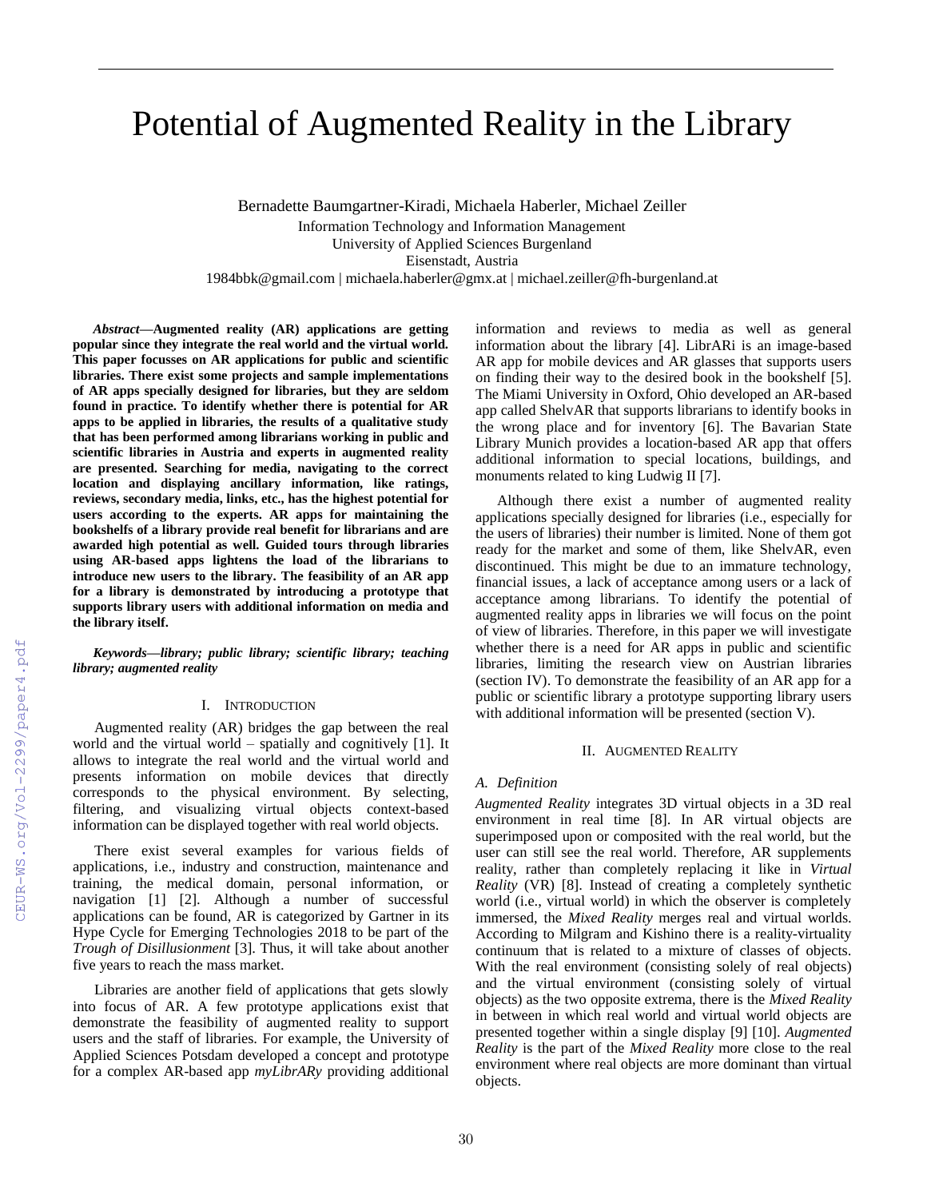# Potential of Augmented Reality in the Library

Bernadette Baumgartner-Kiradi, Michaela Haberler, Michael Zeiller Information Technology and Information Management University of Applied Sciences Burgenland Eisenstadt, Austria 1984bbk@gmail.com | michaela.haberler@gmx.at | michael.zeiller@fh-burgenland.at

*Abstract***—Augmented reality (AR) applications are getting popular since they integrate the real world and the virtual world. This paper focusses on AR applications for public and scientific libraries. There exist some projects and sample implementations of AR apps specially designed for libraries, but they are seldom found in practice. To identify whether there is potential for AR apps to be applied in libraries, the results of a qualitative study that has been performed among librarians working in public and scientific libraries in Austria and experts in augmented reality are presented. Searching for media, navigating to the correct location and displaying ancillary information, like ratings, reviews, secondary media, links, etc., has the highest potential for users according to the experts. AR apps for maintaining the bookshelfs of a library provide real benefit for librarians and are awarded high potential as well. Guided tours through libraries using AR-based apps lightens the load of the librarians to introduce new users to the library. The feasibility of an AR app for a library is demonstrated by introducing a prototype that supports library users with additional information on media and the library itself.**

*Keywords—library; public library; scientific library; teaching library; augmented reality*

#### I. INTRODUCTION

Augmented reality (AR) bridges the gap between the real world and the virtual world – spatially and cognitively [1]. It allows to integrate the real world and the virtual world and presents information on mobile devices that directly corresponds to the physical environment. By selecting, filtering, and visualizing virtual objects context-based information can be displayed together with real world objects.

There exist several examples for various fields of applications, i.e., industry and construction, maintenance and training, the medical domain, personal information, or navigation [1] [2]. Although a number of successful applications can be found, AR is categorized by Gartner in its Hype Cycle for Emerging Technologies 2018 to be part of the *Trough of Disillusionment* [3]. Thus, it will take about another five years to reach the mass market.

Libraries are another field of applications that gets slowly into focus of AR. A few prototype applications exist that demonstrate the feasibility of augmented reality to support users and the staff of libraries. For example, the University of Applied Sciences Potsdam developed a concept and prototype for a complex AR-based app *myLibrARy* providing additional information and reviews to media as well as general information about the library [4]. LibrARi is an image-based AR app for mobile devices and AR glasses that supports users on finding their way to the desired book in the bookshelf [5]. The Miami University in Oxford, Ohio developed an AR-based app called ShelvAR that supports librarians to identify books in the wrong place and for inventory [6]. The Bavarian State Library Munich provides a location-based AR app that offers additional information to special locations, buildings, and monuments related to king Ludwig II [7].

Although there exist a number of augmented reality applications specially designed for libraries (i.e., especially for the users of libraries) their number is limited. None of them got ready for the market and some of them, like ShelvAR, even discontinued. This might be due to an immature technology, financial issues, a lack of acceptance among users or a lack of acceptance among librarians. To identify the potential of augmented reality apps in libraries we will focus on the point of view of libraries. Therefore, in this paper we will investigate whether there is a need for AR apps in public and scientific libraries, limiting the research view on Austrian libraries (section IV). To demonstrate the feasibility of an AR app for a public or scientific library a prototype supporting library users with additional information will be presented (section V).

#### II. AUGMENTED REALITY

# *A. Definition*

*Augmented Reality* integrates 3D virtual objects in a 3D real environment in real time [8]. In AR virtual objects are superimposed upon or composited with the real world, but the user can still see the real world. Therefore, AR supplements reality, rather than completely replacing it like in *Virtual Reality* (VR) [8]. Instead of creating a completely synthetic world (i.e., virtual world) in which the observer is completely immersed, the *Mixed Reality* merges real and virtual worlds. According to Milgram and Kishino there is a reality-virtuality continuum that is related to a mixture of classes of objects. With the real environment (consisting solely of real objects) and the virtual environment (consisting solely of virtual objects) as the two opposite extrema, there is the *Mixed Reality* in between in which real world and virtual world objects are presented together within a single display [9] [10]. *Augmented Reality* is the part of the *Mixed Reality* more close to the real environment where real objects are more dominant than virtual objects.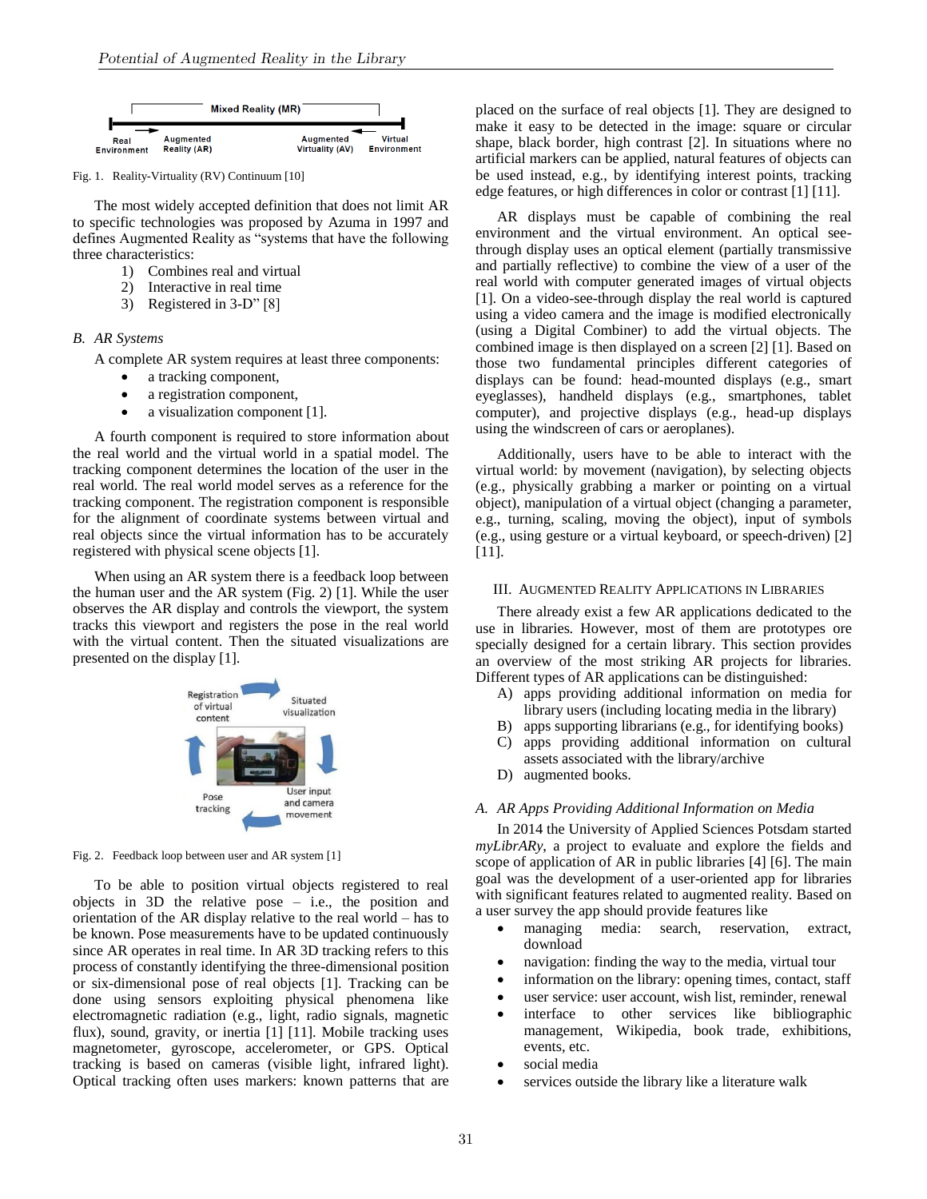

Fig. 1. Reality-Virtuality (RV) Continuum [10]

The most widely accepted definition that does not limit AR to specific technologies was proposed by Azuma in 1997 and defines Augmented Reality as "systems that have the following three characteristics:

- 1) Combines real and virtual
- 2) Interactive in real time
- 3) Registered in 3-D" [8]

## *B. AR Systems*

A complete AR system requires at least three components:

- a tracking component,
- a registration component,
- a visualization component [1].

A fourth component is required to store information about the real world and the virtual world in a spatial model. The tracking component determines the location of the user in the real world. The real world model serves as a reference for the tracking component. The registration component is responsible for the alignment of coordinate systems between virtual and real objects since the virtual information has to be accurately registered with physical scene objects [1].

When using an AR system there is a feedback loop between the human user and the AR system (Fig. 2) [1]. While the user observes the AR display and controls the viewport, the system tracks this viewport and registers the pose in the real world with the virtual content. Then the situated visualizations are presented on the display [1].



Fig. 2. Feedback loop between user and AR system [1]

To be able to position virtual objects registered to real objects in 3D the relative pose – i.e., the position and orientation of the AR display relative to the real world – has to be known. Pose measurements have to be updated continuously since AR operates in real time. In AR 3D tracking refers to this process of constantly identifying the three-dimensional position or six-dimensional pose of real objects [1]. Tracking can be done using sensors exploiting physical phenomena like electromagnetic radiation (e.g., light, radio signals, magnetic flux), sound, gravity, or inertia [1] [11]. Mobile tracking uses magnetometer, gyroscope, accelerometer, or GPS. Optical tracking is based on cameras (visible light, infrared light). Optical tracking often uses markers: known patterns that are placed on the surface of real objects [1]. They are designed to make it easy to be detected in the image: square or circular shape, black border, high contrast [2]. In situations where no artificial markers can be applied, natural features of objects can be used instead, e.g., by identifying interest points, tracking edge features, or high differences in color or contrast [1] [11].

AR displays must be capable of combining the real environment and the virtual environment. An optical seethrough display uses an optical element (partially transmissive and partially reflective) to combine the view of a user of the real world with computer generated images of virtual objects [1]. On a video-see-through display the real world is captured using a video camera and the image is modified electronically (using a Digital Combiner) to add the virtual objects. The combined image is then displayed on a screen [2] [1]. Based on those two fundamental principles different categories of displays can be found: head-mounted displays (e.g., smart eyeglasses), handheld displays (e.g., smartphones, tablet computer), and projective displays (e.g., head-up displays using the windscreen of cars or aeroplanes).

Additionally, users have to be able to interact with the virtual world: by movement (navigation), by selecting objects (e.g., physically grabbing a marker or pointing on a virtual object), manipulation of a virtual object (changing a parameter, e.g., turning, scaling, moving the object), input of symbols (e.g., using gesture or a virtual keyboard, or speech-driven) [2] [11].

#### III. AUGMENTED REALITY APPLICATIONS IN LIBRARIES

There already exist a few AR applications dedicated to the use in libraries. However, most of them are prototypes ore specially designed for a certain library. This section provides an overview of the most striking AR projects for libraries. Different types of AR applications can be distinguished:

- A) apps providing additional information on media for library users (including locating media in the library)
- B) apps supporting librarians (e.g., for identifying books)
- C) apps providing additional information on cultural assets associated with the library/archive
- D) augmented books.

#### *A. AR Apps Providing Additional Information on Media*

In 2014 the University of Applied Sciences Potsdam started *myLibrARy*, a project to evaluate and explore the fields and scope of application of AR in public libraries [4] [6]. The main goal was the development of a user-oriented app for libraries with significant features related to augmented reality. Based on a user survey the app should provide features like

- managing media: search, reservation, extract, download
- navigation: finding the way to the media, virtual tour
- information on the library: opening times, contact, staff
- user service: user account, wish list, reminder, renewal
- interface to other services like bibliographic management, Wikipedia, book trade, exhibitions, events, etc.
- social media
- services outside the library like a literature walk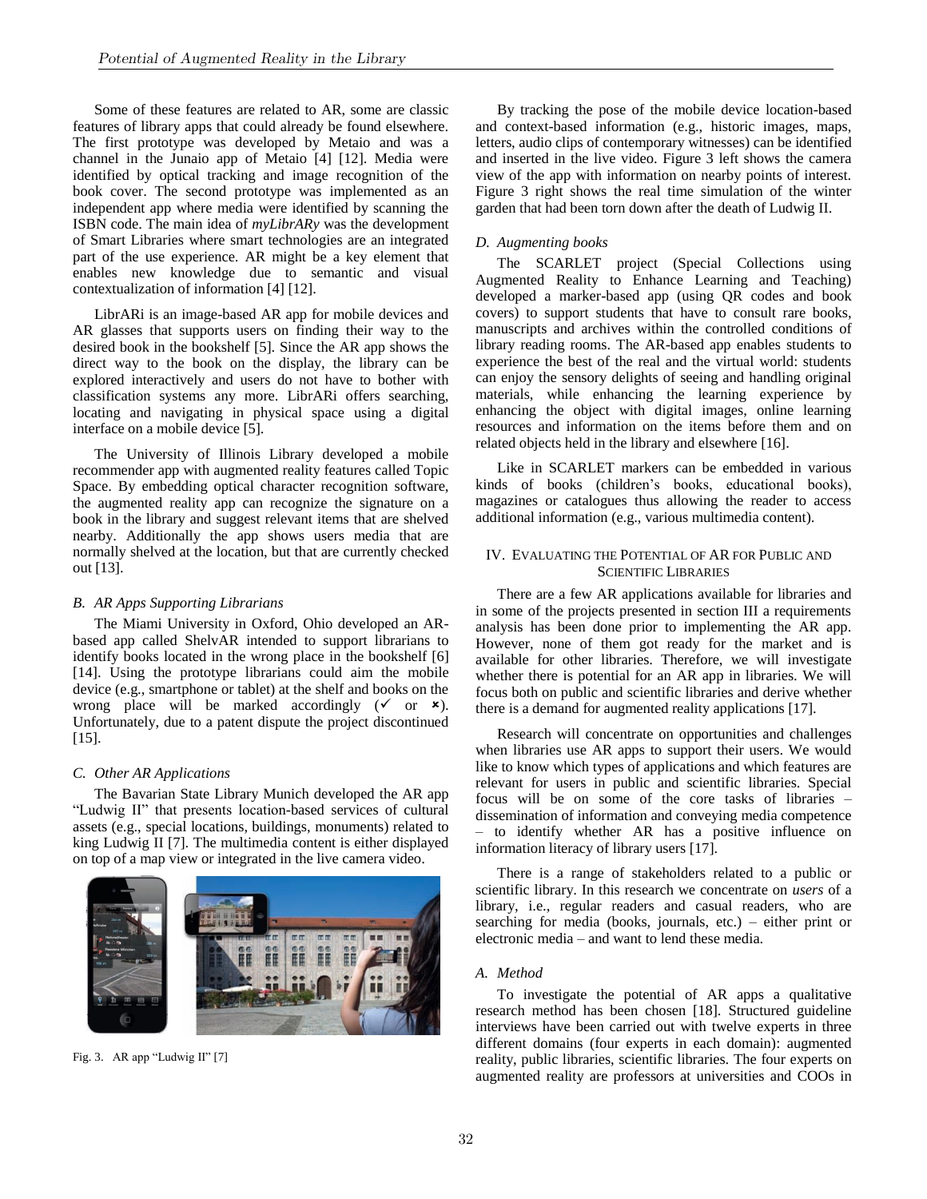Some of these features are related to AR, some are classic features of library apps that could already be found elsewhere. The first prototype was developed by Metaio and was a channel in the Junaio app of Metaio [4] [12]. Media were identified by optical tracking and image recognition of the book cover. The second prototype was implemented as an independent app where media were identified by scanning the ISBN code. The main idea of *myLibrARy* was the development of Smart Libraries where smart technologies are an integrated part of the use experience. AR might be a key element that enables new knowledge due to semantic and visual contextualization of information [4] [12].

LibrARi is an image-based AR app for mobile devices and AR glasses that supports users on finding their way to the desired book in the bookshelf [5]. Since the AR app shows the direct way to the book on the display, the library can be explored interactively and users do not have to bother with classification systems any more. LibrARi offers searching, locating and navigating in physical space using a digital interface on a mobile device [5].

The University of Illinois Library developed a mobile recommender app with augmented reality features called Topic Space. By embedding optical character recognition software, the augmented reality app can recognize the signature on a book in the library and suggest relevant items that are shelved nearby. Additionally the app shows users media that are normally shelved at the location, but that are currently checked out [13].

# *B. AR Apps Supporting Librarians*

The Miami University in Oxford, Ohio developed an ARbased app called ShelvAR intended to support librarians to identify books located in the wrong place in the bookshelf [6] [14]. Using the prototype librarians could aim the mobile device (e.g., smartphone or tablet) at the shelf and books on the wrong place will be marked accordingly  $($  or  $)$ . Unfortunately, due to a patent dispute the project discontinued [15].

# *C. Other AR Applications*

The Bavarian State Library Munich developed the AR app "Ludwig II" that presents location-based services of cultural assets (e.g., special locations, buildings, monuments) related to king Ludwig II [7]. The multimedia content is either displayed on top of a map view or integrated in the live camera video.



Fig. 3. AR app "Ludwig II" [7]

By tracking the pose of the mobile device location-based and context-based information (e.g., historic images, maps, letters, audio clips of contemporary witnesses) can be identified and inserted in the live video. Figure 3 left shows the camera view of the app with information on nearby points of interest. Figure 3 right shows the real time simulation of the winter garden that had been torn down after the death of Ludwig II.

#### *D. Augmenting books*

The SCARLET project (Special Collections using Augmented Reality to Enhance Learning and Teaching) developed a marker-based app (using QR codes and book covers) to support students that have to consult rare books, manuscripts and archives within the controlled conditions of library reading rooms. The AR-based app enables students to experience the best of the real and the virtual world: students can enjoy the sensory delights of seeing and handling original materials, while enhancing the learning experience by enhancing the object with digital images, online learning resources and information on the items before them and on related objects held in the library and elsewhere [16].

Like in SCARLET markers can be embedded in various kinds of books (children's books, educational books), magazines or catalogues thus allowing the reader to access additional information (e.g., various multimedia content).

# IV. EVALUATING THE POTENTIAL OF AR FOR PUBLIC AND SCIENTIFIC LIBRARIES

There are a few AR applications available for libraries and in some of the projects presented in section III a requirements analysis has been done prior to implementing the AR app. However, none of them got ready for the market and is available for other libraries. Therefore, we will investigate whether there is potential for an AR app in libraries. We will focus both on public and scientific libraries and derive whether there is a demand for augmented reality applications [17].

Research will concentrate on opportunities and challenges when libraries use AR apps to support their users. We would like to know which types of applications and which features are relevant for users in public and scientific libraries. Special focus will be on some of the core tasks of libraries – dissemination of information and conveying media competence – to identify whether AR has a positive influence on information literacy of library users [17].

There is a range of stakeholders related to a public or scientific library. In this research we concentrate on *users* of a library, i.e., regular readers and casual readers, who are searching for media (books, journals, etc.) – either print or electronic media – and want to lend these media.

# *A. Method*

To investigate the potential of AR apps a qualitative research method has been chosen [18]. Structured guideline interviews have been carried out with twelve experts in three different domains (four experts in each domain): augmented reality, public libraries, scientific libraries. The four experts on augmented reality are professors at universities and COOs in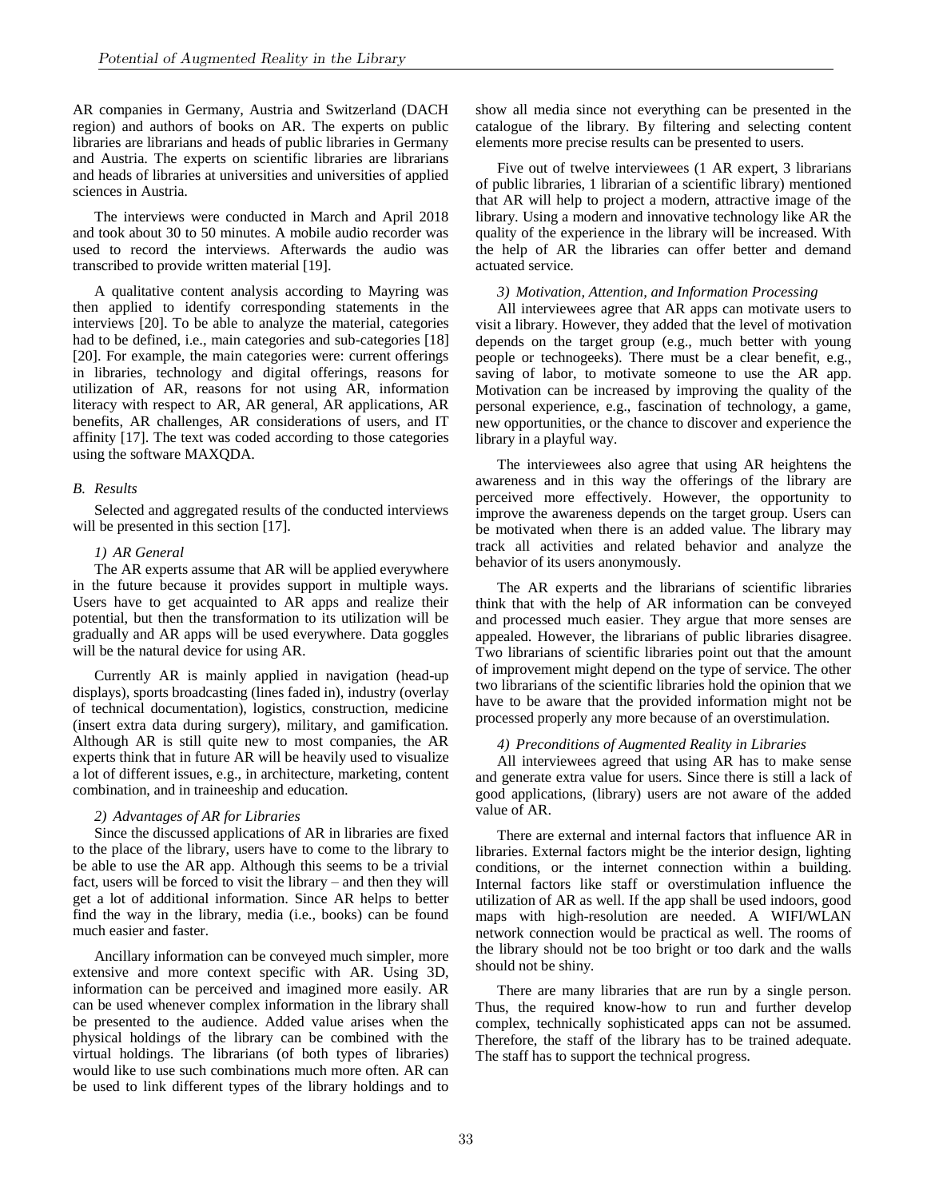AR companies in Germany, Austria and Switzerland (DACH region) and authors of books on AR. The experts on public libraries are librarians and heads of public libraries in Germany and Austria. The experts on scientific libraries are librarians and heads of libraries at universities and universities of applied sciences in Austria.

The interviews were conducted in March and April 2018 and took about 30 to 50 minutes. A mobile audio recorder was used to record the interviews. Afterwards the audio was transcribed to provide written material [19].

A qualitative content analysis according to Mayring was then applied to identify corresponding statements in the interviews [20]. To be able to analyze the material, categories had to be defined, i.e., main categories and sub-categories [18] [20]. For example, the main categories were: current offerings in libraries, technology and digital offerings, reasons for utilization of AR, reasons for not using AR, information literacy with respect to AR, AR general, AR applications, AR benefits, AR challenges, AR considerations of users, and IT affinity [17]. The text was coded according to those categories using the software MAXQDA.

# *B. Results*

Selected and aggregated results of the conducted interviews will be presented in this section [17].

# *1) AR General*

The AR experts assume that AR will be applied everywhere in the future because it provides support in multiple ways. Users have to get acquainted to AR apps and realize their potential, but then the transformation to its utilization will be gradually and AR apps will be used everywhere. Data goggles will be the natural device for using AR.

Currently AR is mainly applied in navigation (head-up displays), sports broadcasting (lines faded in), industry (overlay of technical documentation), logistics, construction, medicine (insert extra data during surgery), military, and gamification. Although AR is still quite new to most companies, the AR experts think that in future AR will be heavily used to visualize a lot of different issues, e.g., in architecture, marketing, content combination, and in traineeship and education.

# *2) Advantages of AR for Libraries*

Since the discussed applications of AR in libraries are fixed to the place of the library, users have to come to the library to be able to use the AR app. Although this seems to be a trivial fact, users will be forced to visit the library – and then they will get a lot of additional information. Since AR helps to better find the way in the library, media (i.e., books) can be found much easier and faster.

Ancillary information can be conveyed much simpler, more extensive and more context specific with AR. Using 3D, information can be perceived and imagined more easily. AR can be used whenever complex information in the library shall be presented to the audience. Added value arises when the physical holdings of the library can be combined with the virtual holdings. The librarians (of both types of libraries) would like to use such combinations much more often. AR can be used to link different types of the library holdings and to show all media since not everything can be presented in the catalogue of the library. By filtering and selecting content elements more precise results can be presented to users.

Five out of twelve interviewees (1 AR expert, 3 librarians of public libraries, 1 librarian of a scientific library) mentioned that AR will help to project a modern, attractive image of the library. Using a modern and innovative technology like AR the quality of the experience in the library will be increased. With the help of AR the libraries can offer better and demand actuated service.

# *3) Motivation, Attention, and Information Processing*

All interviewees agree that AR apps can motivate users to visit a library. However, they added that the level of motivation depends on the target group (e.g., much better with young people or technogeeks). There must be a clear benefit, e.g., saving of labor, to motivate someone to use the AR app. Motivation can be increased by improving the quality of the personal experience, e.g., fascination of technology, a game, new opportunities, or the chance to discover and experience the library in a playful way.

The interviewees also agree that using AR heightens the awareness and in this way the offerings of the library are perceived more effectively. However, the opportunity to improve the awareness depends on the target group. Users can be motivated when there is an added value. The library may track all activities and related behavior and analyze the behavior of its users anonymously.

The AR experts and the librarians of scientific libraries think that with the help of AR information can be conveyed and processed much easier. They argue that more senses are appealed. However, the librarians of public libraries disagree. Two librarians of scientific libraries point out that the amount of improvement might depend on the type of service. The other two librarians of the scientific libraries hold the opinion that we have to be aware that the provided information might not be processed properly any more because of an overstimulation.

### *4) Preconditions of Augmented Reality in Libraries*

All interviewees agreed that using AR has to make sense and generate extra value for users. Since there is still a lack of good applications, (library) users are not aware of the added value of AR.

There are external and internal factors that influence AR in libraries. External factors might be the interior design, lighting conditions, or the internet connection within a building. Internal factors like staff or overstimulation influence the utilization of AR as well. If the app shall be used indoors, good maps with high-resolution are needed. A WIFI/WLAN network connection would be practical as well. The rooms of the library should not be too bright or too dark and the walls should not be shiny.

There are many libraries that are run by a single person. Thus, the required know-how to run and further develop complex, technically sophisticated apps can not be assumed. Therefore, the staff of the library has to be trained adequate. The staff has to support the technical progress.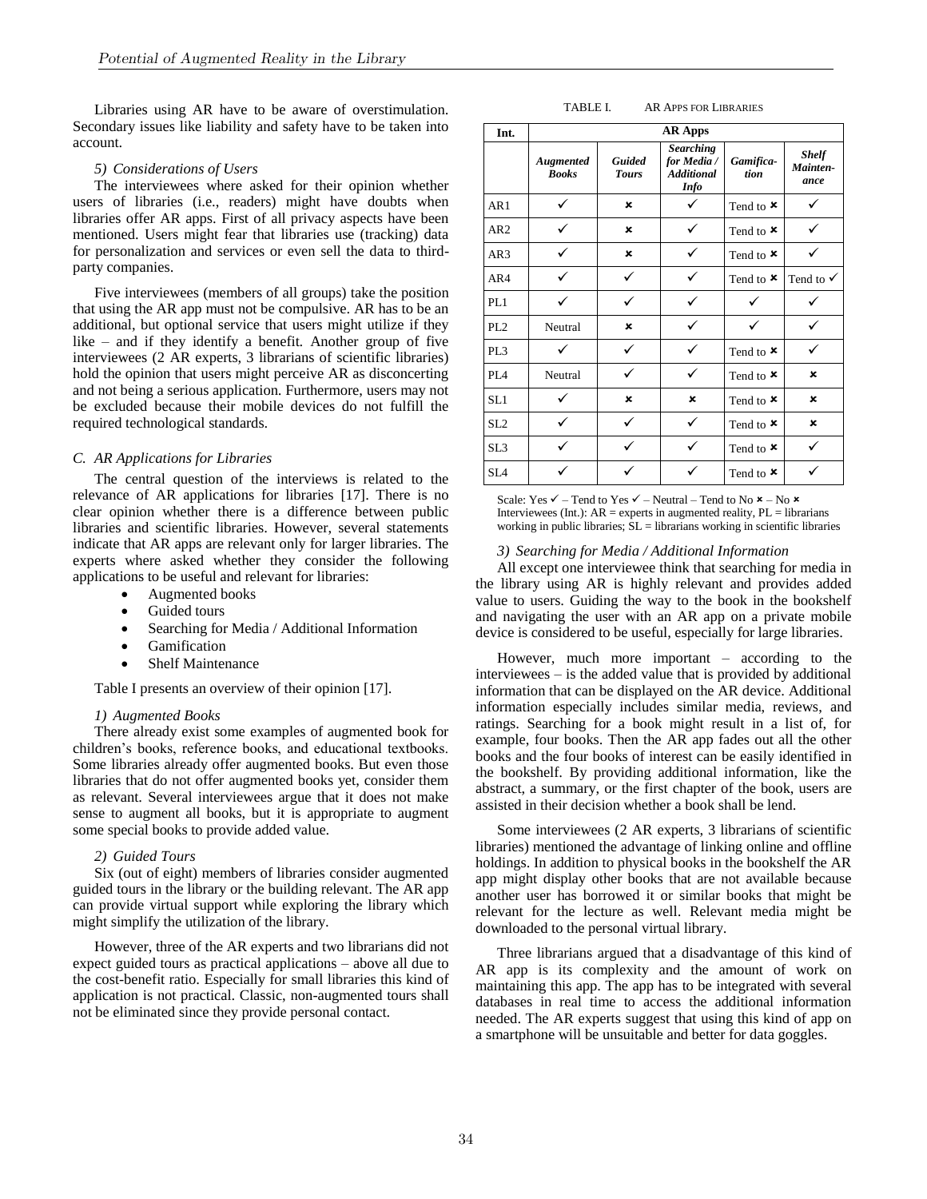Libraries using AR have to be aware of overstimulation. Secondary issues like liability and safety have to be taken into account.

#### *5) Considerations of Users*

The interviewees where asked for their opinion whether users of libraries (i.e., readers) might have doubts when libraries offer AR apps. First of all privacy aspects have been mentioned. Users might fear that libraries use (tracking) data for personalization and services or even sell the data to thirdparty companies.

Five interviewees (members of all groups) take the position that using the AR app must not be compulsive. AR has to be an additional, but optional service that users might utilize if they like – and if they identify a benefit. Another group of five interviewees (2 AR experts, 3 librarians of scientific libraries) hold the opinion that users might perceive AR as disconcerting and not being a serious application. Furthermore, users may not be excluded because their mobile devices do not fulfill the required technological standards.

#### *C. AR Applications for Libraries*

The central question of the interviews is related to the relevance of AR applications for libraries [17]. There is no clear opinion whether there is a difference between public libraries and scientific libraries. However, several statements indicate that AR apps are relevant only for larger libraries. The experts where asked whether they consider the following applications to be useful and relevant for libraries:

- Augmented books
	- Guided tours
	- Searching for Media / Additional Information
	- Gamification
	- Shelf Maintenance

Table I presents an overview of their opinion [17].

# *1) Augmented Books*

There already exist some examples of augmented book for children's books, reference books, and educational textbooks. Some libraries already offer augmented books. But even those libraries that do not offer augmented books yet, consider them as relevant. Several interviewees argue that it does not make sense to augment all books, but it is appropriate to augment some special books to provide added value.

# *2) Guided Tours*

Six (out of eight) members of libraries consider augmented guided tours in the library or the building relevant. The AR app can provide virtual support while exploring the library which might simplify the utilization of the library.

However, three of the AR experts and two librarians did not expect guided tours as practical applications – above all due to the cost-benefit ratio. Especially for small libraries this kind of application is not practical. Classic, non-augmented tours shall not be eliminated since they provide personal contact.

TABLE I. AR APPS FOR LIBRARIES

| Int.            | <b>AR Apps</b>            |                               |                                                                     |                               |                                  |
|-----------------|---------------------------|-------------------------------|---------------------------------------------------------------------|-------------------------------|----------------------------------|
|                 | Augmented<br><b>Books</b> | <b>Guided</b><br><b>Tours</b> | <b>Searching</b><br>for Media /<br><b>Additional</b><br><b>Info</b> | Gamifica-<br>tion             | <b>Shelf</b><br>Mainten-<br>ance |
| AR1             |                           | $\mathbf x$                   |                                                                     | Tend to $\times$              |                                  |
| AR <sub>2</sub> |                           | ×                             |                                                                     | Tend to $\times$              |                                  |
| AR3             |                           | ×                             |                                                                     | Tend to $\boldsymbol{\times}$ |                                  |
| AR4             | ✓                         | ✓                             | ✓                                                                   | Tend to $\times$              | Tend to $\checkmark$             |
| PL1             | ✓                         |                               |                                                                     |                               |                                  |
| PL <sub>2</sub> | Neutral                   | ×                             | ✓                                                                   |                               |                                  |
| PL3             |                           |                               |                                                                     | Tend to $\boldsymbol{\times}$ |                                  |
| PL <sub>4</sub> | Neutral                   | ✓                             | ✓                                                                   | Tend to $\times$              | ×                                |
| SL1             |                           | ×                             | ×                                                                   | Tend to $\boldsymbol{\times}$ | ×                                |
| SL <sub>2</sub> | ✓                         | ✓                             | ✓                                                                   | Tend to $\times$              | ×                                |
| SL <sub>3</sub> |                           | ✓                             |                                                                     | Tend to $\boldsymbol{\times}$ | ✓                                |
| SL <sub>4</sub> |                           |                               |                                                                     | Tend to $\times$              |                                  |

Scale: Yes  $\checkmark$  – Tend to Yes  $\checkmark$  – Neutral – Tend to No  $\checkmark$  – No  $\checkmark$ Interviewees (Int.):  $AR =$  experts in augmented reality,  $PL =$  librarians working in public libraries; SL = librarians working in scientific libraries

# *3) Searching for Media / Additional Information*

All except one interviewee think that searching for media in the library using AR is highly relevant and provides added value to users. Guiding the way to the book in the bookshelf and navigating the user with an AR app on a private mobile device is considered to be useful, especially for large libraries.

However, much more important – according to the interviewees – is the added value that is provided by additional information that can be displayed on the AR device. Additional information especially includes similar media, reviews, and ratings. Searching for a book might result in a list of, for example, four books. Then the AR app fades out all the other books and the four books of interest can be easily identified in the bookshelf. By providing additional information, like the abstract, a summary, or the first chapter of the book, users are assisted in their decision whether a book shall be lend.

Some interviewees (2 AR experts, 3 librarians of scientific libraries) mentioned the advantage of linking online and offline holdings. In addition to physical books in the bookshelf the AR app might display other books that are not available because another user has borrowed it or similar books that might be relevant for the lecture as well. Relevant media might be downloaded to the personal virtual library.

Three librarians argued that a disadvantage of this kind of AR app is its complexity and the amount of work on maintaining this app. The app has to be integrated with several databases in real time to access the additional information needed. The AR experts suggest that using this kind of app on a smartphone will be unsuitable and better for data goggles.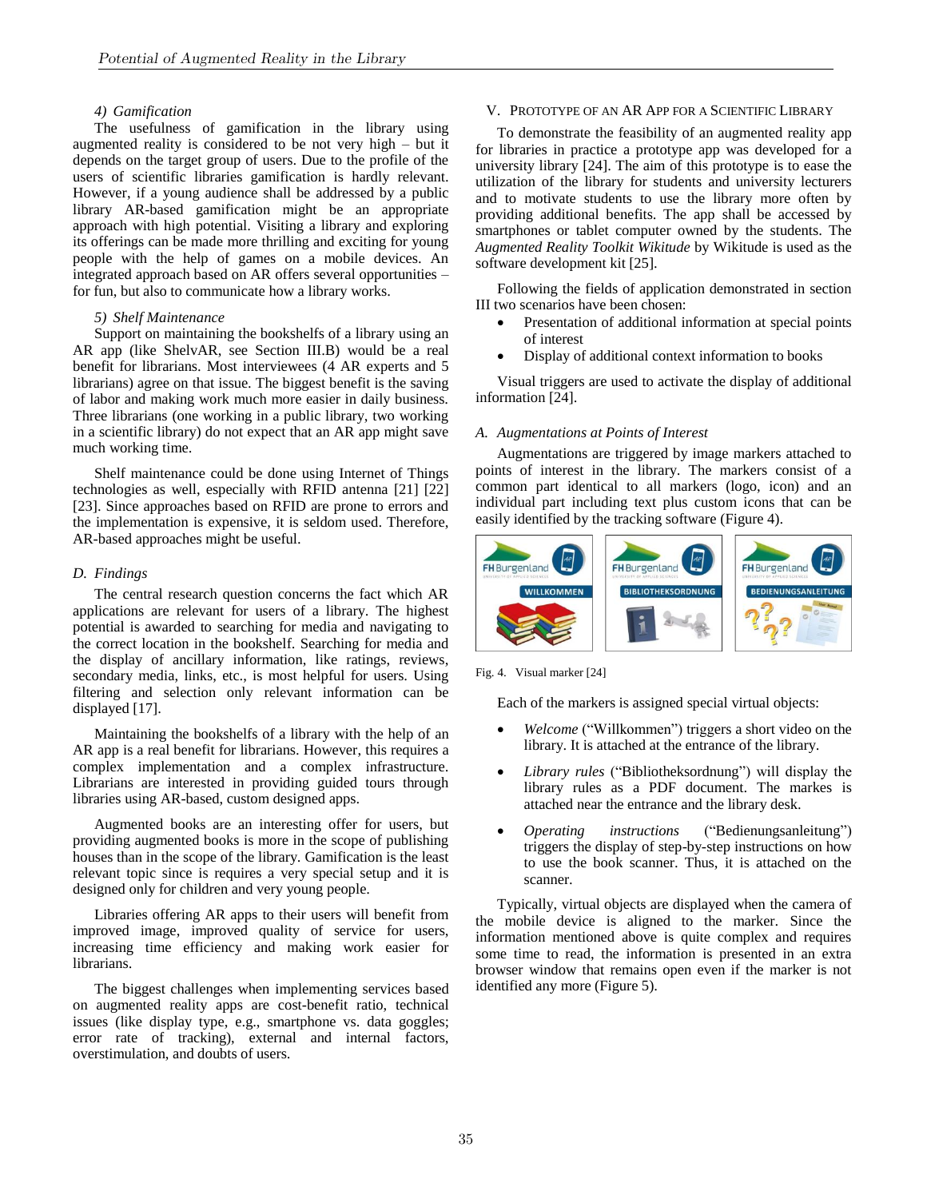### *4) Gamification*

The usefulness of gamification in the library using augmented reality is considered to be not very high – but it depends on the target group of users. Due to the profile of the users of scientific libraries gamification is hardly relevant. However, if a young audience shall be addressed by a public library AR-based gamification might be an appropriate approach with high potential. Visiting a library and exploring its offerings can be made more thrilling and exciting for young people with the help of games on a mobile devices. An integrated approach based on AR offers several opportunities – for fun, but also to communicate how a library works.

#### *5) Shelf Maintenance*

Support on maintaining the bookshelfs of a library using an AR app (like ShelvAR, see Section III.B) would be a real benefit for librarians. Most interviewees (4 AR experts and 5 librarians) agree on that issue. The biggest benefit is the saving of labor and making work much more easier in daily business. Three librarians (one working in a public library, two working in a scientific library) do not expect that an AR app might save much working time.

Shelf maintenance could be done using Internet of Things technologies as well, especially with RFID antenna [21] [22] [23]. Since approaches based on RFID are prone to errors and the implementation is expensive, it is seldom used. Therefore, AR-based approaches might be useful.

### *D. Findings*

The central research question concerns the fact which AR applications are relevant for users of a library. The highest potential is awarded to searching for media and navigating to the correct location in the bookshelf. Searching for media and the display of ancillary information, like ratings, reviews, secondary media, links, etc., is most helpful for users. Using filtering and selection only relevant information can be displayed [17].

Maintaining the bookshelfs of a library with the help of an AR app is a real benefit for librarians. However, this requires a complex implementation and a complex infrastructure. Librarians are interested in providing guided tours through libraries using AR-based, custom designed apps.

Augmented books are an interesting offer for users, but providing augmented books is more in the scope of publishing houses than in the scope of the library. Gamification is the least relevant topic since is requires a very special setup and it is designed only for children and very young people.

Libraries offering AR apps to their users will benefit from improved image, improved quality of service for users, increasing time efficiency and making work easier for librarians.

The biggest challenges when implementing services based on augmented reality apps are cost-benefit ratio, technical issues (like display type, e.g., smartphone vs. data goggles; error rate of tracking), external and internal factors, overstimulation, and doubts of users.

# V. PROTOTYPE OF AN AR APP FOR A SCIENTIFIC LIBRARY

To demonstrate the feasibility of an augmented reality app for libraries in practice a prototype app was developed for a university library [24]. The aim of this prototype is to ease the utilization of the library for students and university lecturers and to motivate students to use the library more often by providing additional benefits. The app shall be accessed by smartphones or tablet computer owned by the students. The *Augmented Reality Toolkit Wikitude* by Wikitude is used as the software development kit [25].

Following the fields of application demonstrated in section III two scenarios have been chosen:

- Presentation of additional information at special points of interest
- Display of additional context information to books

Visual triggers are used to activate the display of additional information [24].

# *A. Augmentations at Points of Interest*

Augmentations are triggered by image markers attached to points of interest in the library. The markers consist of a common part identical to all markers (logo, icon) and an individual part including text plus custom icons that can be easily identified by the tracking software (Figure 4).



Fig. 4. Visual marker [24]

Each of the markers is assigned special virtual objects:

- *Welcome* ("Willkommen") triggers a short video on the library. It is attached at the entrance of the library.
- *Library rules* ("Bibliotheksordnung") will display the library rules as a PDF document. The markes is attached near the entrance and the library desk.
- *Operating instructions* ("Bedienungsanleitung") triggers the display of step-by-step instructions on how to use the book scanner. Thus, it is attached on the scanner.

Typically, virtual objects are displayed when the camera of the mobile device is aligned to the marker. Since the information mentioned above is quite complex and requires some time to read, the information is presented in an extra browser window that remains open even if the marker is not identified any more (Figure 5).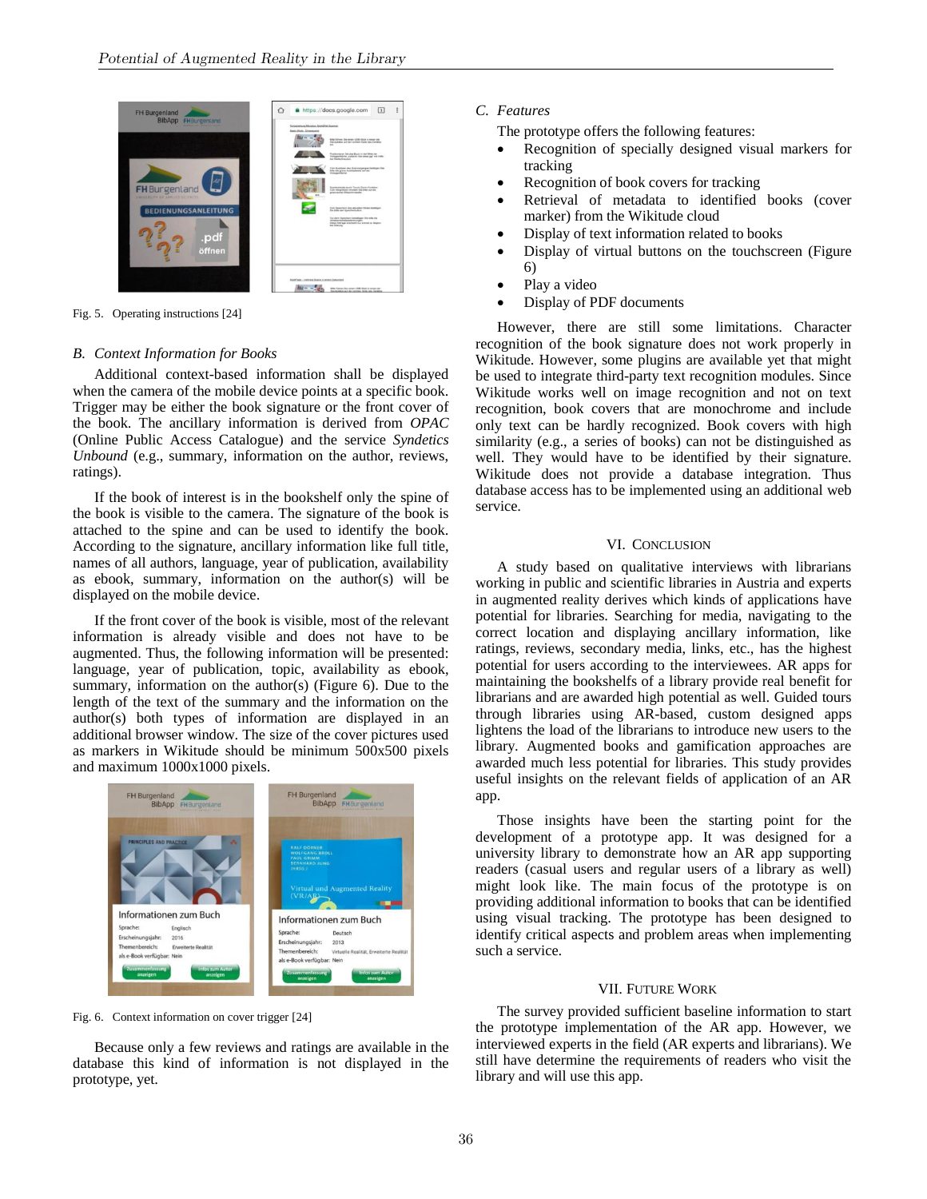

Fig. 5. Operating instructions [24]

#### *B. Context Information for Books*

Additional context-based information shall be displayed when the camera of the mobile device points at a specific book. Trigger may be either the book signature or the front cover of the book. The ancillary information is derived from *OPAC* (Online Public Access Catalogue) and the service *Syndetics Unbound* (e.g., summary, information on the author, reviews, ratings).

If the book of interest is in the bookshelf only the spine of the book is visible to the camera. The signature of the book is attached to the spine and can be used to identify the book. According to the signature, ancillary information like full title, names of all authors, language, year of publication, availability as ebook, summary, information on the author(s) will be displayed on the mobile device.

If the front cover of the book is visible, most of the relevant information is already visible and does not have to be augmented. Thus, the following information will be presented: language, year of publication, topic, availability as ebook, summary, information on the author(s) (Figure 6). Due to the length of the text of the summary and the information on the author(s) both types of information are displayed in an additional browser window. The size of the cover pictures used as markers in Wikitude should be minimum 500x500 pixels and maximum 1000x1000 pixels.



Fig. 6. Context information on cover trigger [24]

Because only a few reviews and ratings are available in the database this kind of information is not displayed in the prototype, yet.

# *C. Features*

The prototype offers the following features:

- Recognition of specially designed visual markers for tracking
- Recognition of book covers for tracking
- Retrieval of metadata to identified books (cover marker) from the Wikitude cloud
- Display of text information related to books
- Display of virtual buttons on the touchscreen (Figure 6)
- Play a video
- Display of PDF documents

However, there are still some limitations. Character recognition of the book signature does not work properly in Wikitude. However, some plugins are available yet that might be used to integrate third-party text recognition modules. Since Wikitude works well on image recognition and not on text recognition, book covers that are monochrome and include only text can be hardly recognized. Book covers with high similarity (e.g., a series of books) can not be distinguished as well. They would have to be identified by their signature. Wikitude does not provide a database integration. Thus database access has to be implemented using an additional web service.

#### VI. CONCLUSION

A study based on qualitative interviews with librarians working in public and scientific libraries in Austria and experts in augmented reality derives which kinds of applications have potential for libraries. Searching for media, navigating to the correct location and displaying ancillary information, like ratings, reviews, secondary media, links, etc., has the highest potential for users according to the interviewees. AR apps for maintaining the bookshelfs of a library provide real benefit for librarians and are awarded high potential as well. Guided tours through libraries using AR-based, custom designed apps lightens the load of the librarians to introduce new users to the library. Augmented books and gamification approaches are awarded much less potential for libraries. This study provides useful insights on the relevant fields of application of an AR app.

Those insights have been the starting point for the development of a prototype app. It was designed for a university library to demonstrate how an AR app supporting readers (casual users and regular users of a library as well) might look like. The main focus of the prototype is on providing additional information to books that can be identified using visual tracking. The prototype has been designed to identify critical aspects and problem areas when implementing such a service.

#### VII. FUTURE WORK

The survey provided sufficient baseline information to start the prototype implementation of the AR app. However, we interviewed experts in the field (AR experts and librarians). We still have determine the requirements of readers who visit the library and will use this app.